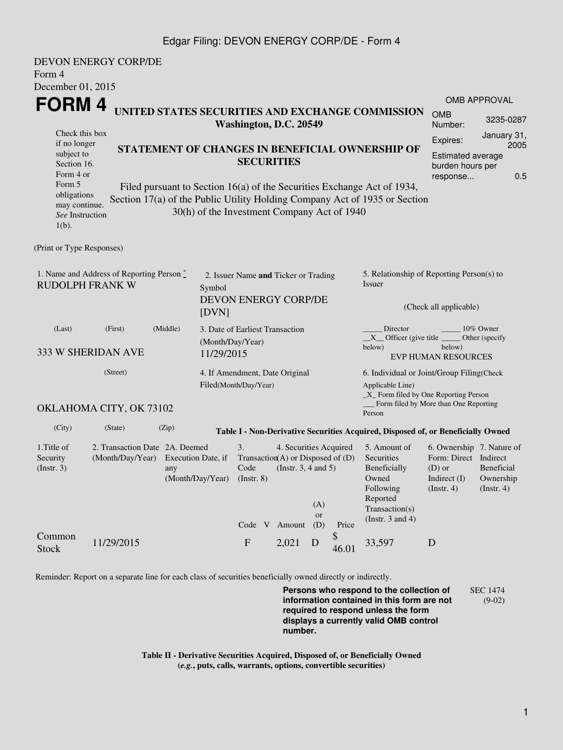## Edgar Filing: DEVON ENERGY CORP/DE - Form 4

| Form 4                                                                                                                      | DEVON ENERGY CORP/DE                               |          |                                                   |                                                                     |                                                                                           |                                                                                             |                      |                                                                                                                                                       |                                                                                                              |                                |  |
|-----------------------------------------------------------------------------------------------------------------------------|----------------------------------------------------|----------|---------------------------------------------------|---------------------------------------------------------------------|-------------------------------------------------------------------------------------------|---------------------------------------------------------------------------------------------|----------------------|-------------------------------------------------------------------------------------------------------------------------------------------------------|--------------------------------------------------------------------------------------------------------------|--------------------------------|--|
| December 01, 2015                                                                                                           |                                                    |          |                                                   |                                                                     |                                                                                           |                                                                                             |                      |                                                                                                                                                       |                                                                                                              | <b>OMB APPROVAL</b>            |  |
| FORM 4                                                                                                                      |                                                    |          |                                                   | Washington, D.C. 20549                                              |                                                                                           |                                                                                             |                      | UNITED STATES SECURITIES AND EXCHANGE COMMISSION                                                                                                      | <b>OMB</b><br>Number:                                                                                        | 3235-0287                      |  |
| Check this box<br>if no longer<br>STATEMENT OF CHANGES IN BENEFICIAL OWNERSHIP OF<br>subject to<br>Section 16.<br>Form 4 or |                                                    |          |                                                   |                                                                     | <b>SECURITIES</b>                                                                         | January 31,<br>Expires:<br>2005<br>Estimated average<br>burden hours per<br>0.5<br>response |                      |                                                                                                                                                       |                                                                                                              |                                |  |
| Form 5<br>obligations<br>may continue.<br>See Instruction<br>$1(b)$ .                                                       |                                                    |          | 30(h) of the Investment Company Act of 1940       |                                                                     |                                                                                           |                                                                                             |                      | Filed pursuant to Section 16(a) of the Securities Exchange Act of 1934,<br>Section 17(a) of the Public Utility Holding Company Act of 1935 or Section |                                                                                                              |                                |  |
| (Print or Type Responses)                                                                                                   |                                                    |          |                                                   |                                                                     |                                                                                           |                                                                                             |                      |                                                                                                                                                       |                                                                                                              |                                |  |
| 1. Name and Address of Reporting Person $\stackrel{*}{\mathbb{L}}$<br><b>RUDOLPH FRANK W</b><br>Symbol<br>[DVN]             |                                                    |          |                                                   | 2. Issuer Name and Ticker or Trading<br><b>DEVON ENERGY CORP/DE</b> |                                                                                           |                                                                                             |                      | 5. Relationship of Reporting Person(s) to<br>Issuer<br>(Check all applicable)                                                                         |                                                                                                              |                                |  |
| (Last)                                                                                                                      | (First)<br>333 W SHERIDAN AVE                      | (Middle) | (Month/Day/Year)<br>11/29/2015                    | 3. Date of Earliest Transaction                                     |                                                                                           |                                                                                             |                      | Director<br>$X$ Officer (give title $\_\_\_\$ Other (specify<br>below)                                                                                | below)<br><b>EVP HUMAN RESOURCES</b>                                                                         | 10% Owner                      |  |
| (Street)<br>4. If Amendment, Date Original<br>Filed(Month/Day/Year)                                                         |                                                    |          |                                                   |                                                                     |                                                                                           |                                                                                             |                      | 6. Individual or Joint/Group Filing (Check<br>Applicable Line)<br>$\_X$ Form filed by One Reporting Person<br>Form filed by More than One Reporting   |                                                                                                              |                                |  |
|                                                                                                                             | OKLAHOMA CITY, OK 73102                            |          |                                                   |                                                                     |                                                                                           |                                                                                             |                      | Person                                                                                                                                                |                                                                                                              |                                |  |
| (City)                                                                                                                      | (State)                                            | (Zip)    |                                                   |                                                                     |                                                                                           |                                                                                             |                      | Table I - Non-Derivative Securities Acquired, Disposed of, or Beneficially Owned                                                                      |                                                                                                              |                                |  |
| 1.Title of<br>Security<br>$($ Instr. 3 $)$                                                                                  | 2. Transaction Date 2A. Deemed<br>(Month/Day/Year) | any      | Execution Date, if<br>(Month/Day/Year) (Instr. 8) | 3.<br>Code                                                          | 4. Securities Acquired<br>Transaction(A) or Disposed of $(D)$<br>(Instr. $3, 4$ and $5$ ) | (A)<br><b>or</b>                                                                            |                      | 5. Amount of<br>Securities<br>Beneficially<br>Owned<br>Following<br>Reported<br>Transaction(s)<br>(Instr. $3$ and $4$ )                               | 6. Ownership 7. Nature of<br>Form: Direct Indirect<br>$(D)$ or<br>Indirect (I) Ownership<br>$($ Instr. 4 $)$ | Beneficial<br>$($ Instr. 4 $)$ |  |
| Common<br><b>Stock</b>                                                                                                      | 11/29/2015                                         |          |                                                   | $\boldsymbol{\mathrm{F}}$                                           | Code V Amount<br>2,021                                                                    | (D)<br>D                                                                                    | Price<br>\$<br>46.01 | 33,597                                                                                                                                                | $\mathbf D$                                                                                                  |                                |  |

Reminder: Report on a separate line for each class of securities beneficially owned directly or indirectly.

**Persons who respond to the collection of information contained in this form are not required to respond unless the form displays a currently valid OMB control number.** SEC 1474 (9-02)

**Table II - Derivative Securities Acquired, Disposed of, or Beneficially Owned (***e.g.***, puts, calls, warrants, options, convertible securities)**